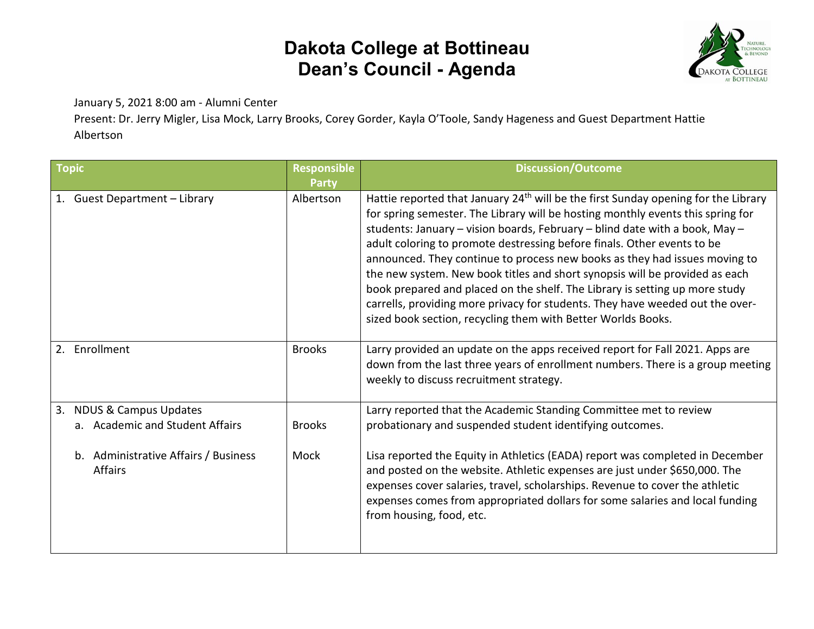

January 5, 2021 8:00 am - Alumni Center

Present: Dr. Jerry Migler, Lisa Mock, Larry Brooks, Corey Gorder, Kayla O'Toole, Sandy Hageness and Guest Department Hattie Albertson

| <b>Topic</b>                                                              | <b>Responsible</b><br><b>Party</b> | <b>Discussion/Outcome</b>                                                                                                                                                                                                                                                                                                                                                                                                                                                                                                                                                                                                                                                                                                                |
|---------------------------------------------------------------------------|------------------------------------|------------------------------------------------------------------------------------------------------------------------------------------------------------------------------------------------------------------------------------------------------------------------------------------------------------------------------------------------------------------------------------------------------------------------------------------------------------------------------------------------------------------------------------------------------------------------------------------------------------------------------------------------------------------------------------------------------------------------------------------|
| 1. Guest Department - Library                                             | Albertson                          | Hattie reported that January 24 <sup>th</sup> will be the first Sunday opening for the Library<br>for spring semester. The Library will be hosting monthly events this spring for<br>students: January - vision boards, February - blind date with a book, May -<br>adult coloring to promote destressing before finals. Other events to be<br>announced. They continue to process new books as they had issues moving to<br>the new system. New book titles and short synopsis will be provided as each<br>book prepared and placed on the shelf. The Library is setting up more study<br>carrells, providing more privacy for students. They have weeded out the over-<br>sized book section, recycling them with Better Worlds Books. |
| Enrollment<br>2.                                                          | <b>Brooks</b>                      | Larry provided an update on the apps received report for Fall 2021. Apps are<br>down from the last three years of enrollment numbers. There is a group meeting<br>weekly to discuss recruitment strategy.                                                                                                                                                                                                                                                                                                                                                                                                                                                                                                                                |
| <b>NDUS &amp; Campus Updates</b><br>3.<br>a. Academic and Student Affairs | <b>Brooks</b>                      | Larry reported that the Academic Standing Committee met to review<br>probationary and suspended student identifying outcomes.                                                                                                                                                                                                                                                                                                                                                                                                                                                                                                                                                                                                            |
| Administrative Affairs / Business<br>b.<br><b>Affairs</b>                 | Mock                               | Lisa reported the Equity in Athletics (EADA) report was completed in December<br>and posted on the website. Athletic expenses are just under \$650,000. The<br>expenses cover salaries, travel, scholarships. Revenue to cover the athletic<br>expenses comes from appropriated dollars for some salaries and local funding<br>from housing, food, etc.                                                                                                                                                                                                                                                                                                                                                                                  |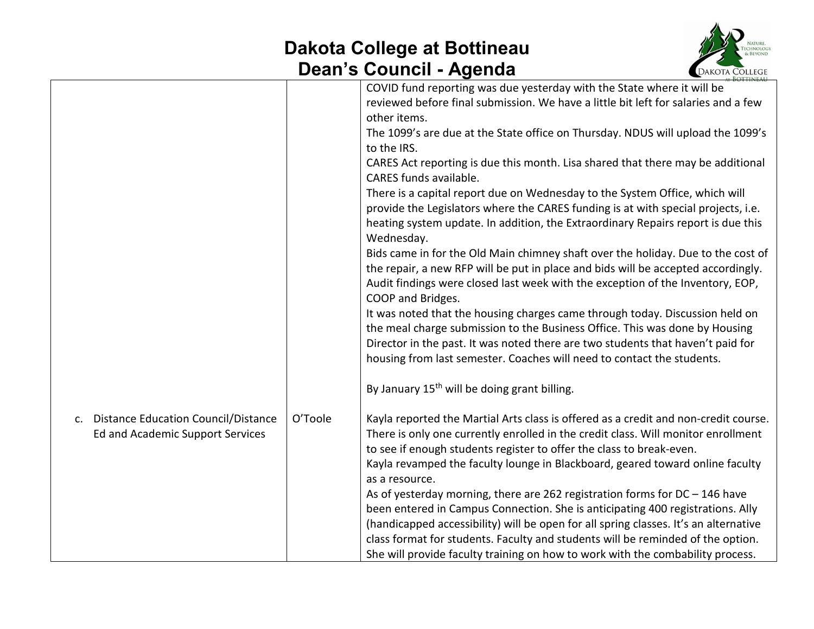

|                                                                            |         | BOTTINEAU<br>COVID fund reporting was due yesterday with the State where it will be<br>reviewed before final submission. We have a little bit left for salaries and a few<br>other items.<br>The 1099's are due at the State office on Thursday. NDUS will upload the 1099's<br>to the IRS.<br>CARES Act reporting is due this month. Lisa shared that there may be additional<br>CARES funds available.<br>There is a capital report due on Wednesday to the System Office, which will<br>provide the Legislators where the CARES funding is at with special projects, i.e.<br>heating system update. In addition, the Extraordinary Repairs report is due this<br>Wednesday.<br>Bids came in for the Old Main chimney shaft over the holiday. Due to the cost of<br>the repair, a new RFP will be put in place and bids will be accepted accordingly.<br>Audit findings were closed last week with the exception of the Inventory, EOP,<br>COOP and Bridges.<br>It was noted that the housing charges came through today. Discussion held on<br>the meal charge submission to the Business Office. This was done by Housing<br>Director in the past. It was noted there are two students that haven't paid for<br>housing from last semester. Coaches will need to contact the students.<br>By January 15 <sup>th</sup> will be doing grant billing. |
|----------------------------------------------------------------------------|---------|--------------------------------------------------------------------------------------------------------------------------------------------------------------------------------------------------------------------------------------------------------------------------------------------------------------------------------------------------------------------------------------------------------------------------------------------------------------------------------------------------------------------------------------------------------------------------------------------------------------------------------------------------------------------------------------------------------------------------------------------------------------------------------------------------------------------------------------------------------------------------------------------------------------------------------------------------------------------------------------------------------------------------------------------------------------------------------------------------------------------------------------------------------------------------------------------------------------------------------------------------------------------------------------------------------------------------------------------------------|
| c. Distance Education Council/Distance<br>Ed and Academic Support Services | O'Toole | Kayla reported the Martial Arts class is offered as a credit and non-credit course.<br>There is only one currently enrolled in the credit class. Will monitor enrollment<br>to see if enough students register to offer the class to break-even.<br>Kayla revamped the faculty lounge in Blackboard, geared toward online faculty<br>as a resource.<br>As of yesterday morning, there are 262 registration forms for $DC - 146$ have<br>been entered in Campus Connection. She is anticipating 400 registrations. Ally<br>(handicapped accessibility) will be open for all spring classes. It's an alternative<br>class format for students. Faculty and students will be reminded of the option.<br>She will provide faculty training on how to work with the combability process.                                                                                                                                                                                                                                                                                                                                                                                                                                                                                                                                                                    |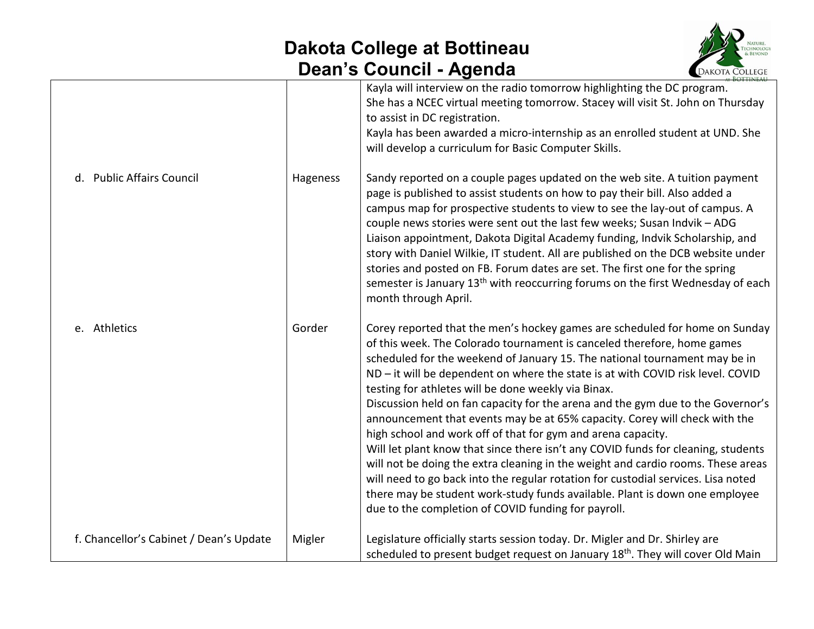

|                                         |          | can o obdhon Agonda<br><b>EDANOIA COLLEGE</b>                                                                                                                                                                                                                                                                                                                                                                                                                                                                                                                                                                                                                                                                                                                                                                                                                                                                                                                                                                       |
|-----------------------------------------|----------|---------------------------------------------------------------------------------------------------------------------------------------------------------------------------------------------------------------------------------------------------------------------------------------------------------------------------------------------------------------------------------------------------------------------------------------------------------------------------------------------------------------------------------------------------------------------------------------------------------------------------------------------------------------------------------------------------------------------------------------------------------------------------------------------------------------------------------------------------------------------------------------------------------------------------------------------------------------------------------------------------------------------|
|                                         |          | Kayla will interview on the radio tomorrow highlighting the DC program.<br>She has a NCEC virtual meeting tomorrow. Stacey will visit St. John on Thursday<br>to assist in DC registration.<br>Kayla has been awarded a micro-internship as an enrolled student at UND. She<br>will develop a curriculum for Basic Computer Skills.                                                                                                                                                                                                                                                                                                                                                                                                                                                                                                                                                                                                                                                                                 |
| d. Public Affairs Council               | Hageness | Sandy reported on a couple pages updated on the web site. A tuition payment<br>page is published to assist students on how to pay their bill. Also added a<br>campus map for prospective students to view to see the lay-out of campus. A<br>couple news stories were sent out the last few weeks; Susan Indvik - ADG<br>Liaison appointment, Dakota Digital Academy funding, Indvik Scholarship, and<br>story with Daniel Wilkie, IT student. All are published on the DCB website under<br>stories and posted on FB. Forum dates are set. The first one for the spring<br>semester is January 13 <sup>th</sup> with reoccurring forums on the first Wednesday of each<br>month through April.                                                                                                                                                                                                                                                                                                                     |
| e. Athletics                            | Gorder   | Corey reported that the men's hockey games are scheduled for home on Sunday<br>of this week. The Colorado tournament is canceled therefore, home games<br>scheduled for the weekend of January 15. The national tournament may be in<br>ND - it will be dependent on where the state is at with COVID risk level. COVID<br>testing for athletes will be done weekly via Binax.<br>Discussion held on fan capacity for the arena and the gym due to the Governor's<br>announcement that events may be at 65% capacity. Corey will check with the<br>high school and work off of that for gym and arena capacity.<br>Will let plant know that since there isn't any COVID funds for cleaning, students<br>will not be doing the extra cleaning in the weight and cardio rooms. These areas<br>will need to go back into the regular rotation for custodial services. Lisa noted<br>there may be student work-study funds available. Plant is down one employee<br>due to the completion of COVID funding for payroll. |
| f. Chancellor's Cabinet / Dean's Update | Migler   | Legislature officially starts session today. Dr. Migler and Dr. Shirley are<br>scheduled to present budget request on January 18 <sup>th</sup> . They will cover Old Main                                                                                                                                                                                                                                                                                                                                                                                                                                                                                                                                                                                                                                                                                                                                                                                                                                           |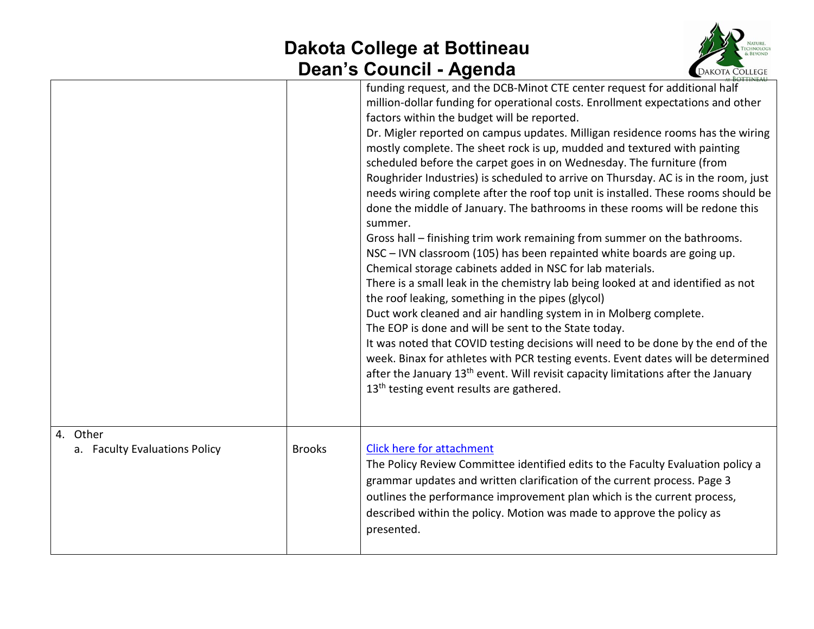

|                                           |               | <b>ROTTINEAU</b>                                                                                                                                                                                                                                                                                                                                                                                                                                                                                                                                                                                                                                                                                                                                                                                                                                                                                                                                                                                                                                                                                                                                                                                                                                                                                                                                                                                                                                                                                                                                    |
|-------------------------------------------|---------------|-----------------------------------------------------------------------------------------------------------------------------------------------------------------------------------------------------------------------------------------------------------------------------------------------------------------------------------------------------------------------------------------------------------------------------------------------------------------------------------------------------------------------------------------------------------------------------------------------------------------------------------------------------------------------------------------------------------------------------------------------------------------------------------------------------------------------------------------------------------------------------------------------------------------------------------------------------------------------------------------------------------------------------------------------------------------------------------------------------------------------------------------------------------------------------------------------------------------------------------------------------------------------------------------------------------------------------------------------------------------------------------------------------------------------------------------------------------------------------------------------------------------------------------------------------|
|                                           |               | funding request, and the DCB-Minot CTE center request for additional half<br>million-dollar funding for operational costs. Enrollment expectations and other<br>factors within the budget will be reported.<br>Dr. Migler reported on campus updates. Milligan residence rooms has the wiring<br>mostly complete. The sheet rock is up, mudded and textured with painting<br>scheduled before the carpet goes in on Wednesday. The furniture (from<br>Roughrider Industries) is scheduled to arrive on Thursday. AC is in the room, just<br>needs wiring complete after the roof top unit is installed. These rooms should be<br>done the middle of January. The bathrooms in these rooms will be redone this<br>summer.<br>Gross hall – finishing trim work remaining from summer on the bathrooms.<br>NSC - IVN classroom (105) has been repainted white boards are going up.<br>Chemical storage cabinets added in NSC for lab materials.<br>There is a small leak in the chemistry lab being looked at and identified as not<br>the roof leaking, something in the pipes (glycol)<br>Duct work cleaned and air handling system in in Molberg complete.<br>The EOP is done and will be sent to the State today.<br>It was noted that COVID testing decisions will need to be done by the end of the<br>week. Binax for athletes with PCR testing events. Event dates will be determined<br>after the January 13 <sup>th</sup> event. Will revisit capacity limitations after the January<br>13 <sup>th</sup> testing event results are gathered. |
| 4. Other<br>a. Faculty Evaluations Policy | <b>Brooks</b> | <b>Click here for attachment</b><br>The Policy Review Committee identified edits to the Faculty Evaluation policy a<br>grammar updates and written clarification of the current process. Page 3<br>outlines the performance improvement plan which is the current process,<br>described within the policy. Motion was made to approve the policy as<br>presented.                                                                                                                                                                                                                                                                                                                                                                                                                                                                                                                                                                                                                                                                                                                                                                                                                                                                                                                                                                                                                                                                                                                                                                                   |